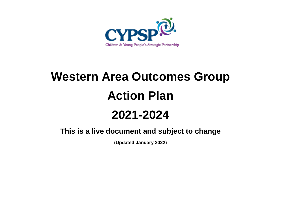

## **Western Area Outcomes Group Action Plan 2021-2024**

**This is a live document and subject to change**

**(Updated January 2022)**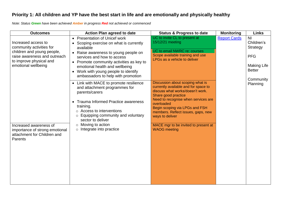## **Priority 1: All children and YP have the best start in life and are emotionally and physically healthy**

*Note: Status Green have been achieved Amber in progress Red not achieved or commenced*

| <b>Outcomes</b>                                                                                                                                                 | <b>Action Plan agreed to date</b>                                                                                                                                                                                                                                                                                                | <b>Status &amp; Progress to date</b>                                                                                                                                                                                                                                                | <b>Monitoring</b>   | <b>Links</b>                                                                                          |
|-----------------------------------------------------------------------------------------------------------------------------------------------------------------|----------------------------------------------------------------------------------------------------------------------------------------------------------------------------------------------------------------------------------------------------------------------------------------------------------------------------------|-------------------------------------------------------------------------------------------------------------------------------------------------------------------------------------------------------------------------------------------------------------------------------------|---------------------|-------------------------------------------------------------------------------------------------------|
| Increased access to<br>community activities for<br>children and young people,<br>raise awareness and outreach<br>to improve physical and<br>emotional wellbeing | • Presentation of Unicef work<br>Scoping exercise on what is currently<br>available<br>• Raise awareness to young people on<br>services and how to access<br>• Promote community activities as key to<br>emotional health and wellbeing<br>Work with young people to identify<br>$\bullet$<br>ambassadors to help with promotion | UC to invite CL to present at<br>15/12/21 meeting<br>UC to email NWRC re: courses<br>Scope available training and use<br>LPGs as a vehicle to deliver                                                                                                                               | <b>Report Cards</b> | NI<br>Children's<br><b>Strategy</b><br><b>PFG</b><br><b>Making Life</b><br><b>Better</b><br>Community |
|                                                                                                                                                                 | • Link with MACE to promote resilience<br>and attachment programmes for<br>parents/carers<br>• Trauma Informed Practice awareness<br>training.<br>$\circ$ Access to interventions<br>Equipping community and voluntary<br>$\circ$<br>sector to deliver<br>Moving to action<br>$\circ$                                            | Discussion about scoping what is<br>currently available and for space to<br>discuss what works/doesn't work.<br>Share good practice<br>Need to recognise when services are<br>overloaded<br>Begin scoping via LPGs and FSH<br>members. Reflect issues, gaps, new<br>ways to deliver |                     | Planning                                                                                              |
| Increased awareness of<br>importance of strong emotional<br>attachment for Children and<br>Parents                                                              | $\circ$ Integrate into practice                                                                                                                                                                                                                                                                                                  | MACE mgr to be invited to present at<br><b>WAOG</b> meeting                                                                                                                                                                                                                         |                     |                                                                                                       |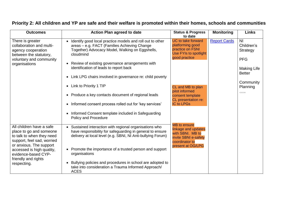| <b>Outcomes</b>                                                                                                                                                                                                                     | <b>Action Plan agreed to date</b>                                                                                                                                                                                                                                                                                                                                                                                   | <b>Status &amp; Progress</b><br>to date                                                                                       | <b>Monitoring</b>   | <b>Links</b>                                                                                  |
|-------------------------------------------------------------------------------------------------------------------------------------------------------------------------------------------------------------------------------------|---------------------------------------------------------------------------------------------------------------------------------------------------------------------------------------------------------------------------------------------------------------------------------------------------------------------------------------------------------------------------------------------------------------------|-------------------------------------------------------------------------------------------------------------------------------|---------------------|-----------------------------------------------------------------------------------------------|
| There is greater<br>collaboration and multi-<br>agency cooperation<br>between the statutory,<br>voluntary and community<br>organisations                                                                                            | Identify good local practice models and roll out to other<br>areas - e.g. FACT (Families Achieving Change<br>Together) Advocacy Model, Walking on Eggshells,<br>cloudmind<br>• Review of existing governance arrangements with<br>identification of leads to report back                                                                                                                                            | <b>UC</b> to take forward<br>platforming good<br>practice on FSNI<br>Use FYIs to spotlight<br>good practice                   | <b>Report Cards</b> | N <sub>l</sub><br>Children's<br>Strategy<br><b>PFG</b><br><b>Making Life</b><br><b>Better</b> |
|                                                                                                                                                                                                                                     | • Link LPG chairs involved in governance re: child poverty<br>• Link to Priority 1 TIP<br>• Produce a key contacts document of regional leads<br>• Informed consent process rolled out for 'key services'<br>Informed Consent template included in Safeguarding                                                                                                                                                     | CL and MB to plan<br>pilot informed<br>consent template<br>CL presentation re:<br><b>IC to LPGs</b>                           |                     | Community<br>Planning<br>$\cdots$                                                             |
| All children have a safe<br>place to go and someone<br>to talk to when they need<br>support, feel sad, worried<br>or anxious. The support<br>accessed is high quality,<br>evidence-based CYP-<br>friendly and rights<br>respecting. | <b>Policy and Procedure</b><br>• Sustained interaction with regional organisations who<br>have responsibility for safeguarding in general to ensure<br>delivery at local level (e.g. SBNI, NI Anti-bullying Forum)<br>• Promote the importance of a trusted person and support<br>organisations<br>Bullying policies and procedures in school are adopted to<br>take into consideration a Trauma Informed Approach/ | <b>MB</b> to ensure<br>linkage and updates<br>with SBNI. MB to<br>invite SBNI e-safety<br>coordinator to<br>present at OG/LPG |                     |                                                                                               |

## **Priority 2: All children and YP are safe and their welfare is promoted within their homes, schools and communities**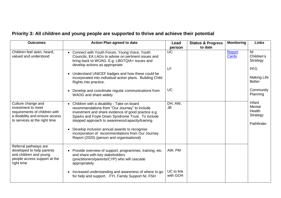## **Priority 3: All children and young people are supported to thrive and achieve their potential**

| <b>Outcomes</b>                                                                                                                              | <b>Action Plan agreed to date</b>                                                                                                                                                                                                                                                                       | Lead                   | <b>Status &amp; Progress</b> | <b>Monitoring</b> | <b>Links</b>                                                                 |
|----------------------------------------------------------------------------------------------------------------------------------------------|---------------------------------------------------------------------------------------------------------------------------------------------------------------------------------------------------------------------------------------------------------------------------------------------------------|------------------------|------------------------------|-------------------|------------------------------------------------------------------------------|
|                                                                                                                                              |                                                                                                                                                                                                                                                                                                         | person                 | to date                      |                   |                                                                              |
| Children feel seen, heard,<br>valued and understood                                                                                          | • Connect with Youth Forum, Young Voice, Youth<br>Councils, EA LAGs to advise on pertinent issues and<br>bring back to WOAG. E.g. LBGTQIA+ issues and<br>develop actions as appropriate<br>Understand UNICEF badges and how these could be<br>incorporated into individual action plans. Building Child | <b>UC</b><br>LF        |                              | Report<br>Cards   | N <sub>l</sub><br>Children's<br>Strategy<br><b>PFG</b><br><b>Making Life</b> |
|                                                                                                                                              | Rights into practice.                                                                                                                                                                                                                                                                                   |                        |                              |                   | <b>Better</b>                                                                |
|                                                                                                                                              | Develop and coordinate regular communications from<br>WAOG and share widely                                                                                                                                                                                                                             | <b>UC</b>              |                              |                   | Community<br>Planning                                                        |
| Culture change and<br>investment to meet<br>requirements of children with<br>a disability and ensure access<br>to services at the right time | • Children with a disability - Take on board<br>recommendations from "Our Journey" to include<br>investment and share evidence of good practice e.g.<br>Sparks and Foyle Down Syndrome Trust. To include<br>stepped approach to awareness/capacity/training                                             | DH, AW,<br><b>JB</b>   |                              |                   | Infant<br>Mental<br>Health<br>Strategy<br>Pathfinder                         |
|                                                                                                                                              | Develop inclusion annual awards to recognise<br>incorporation of recommendations from Our Journey<br>Report (2020) (person and organisational)                                                                                                                                                          |                        |                              |                   |                                                                              |
| Referral pathways are<br>developed to help parents<br>and children and young<br>people access support at the<br>right time                   | • Provide overview of support, programmes, training, etc.<br>and share with key stakeholders<br>(practitioners/parents/CYP) who will cascade<br>appropriately                                                                                                                                           | AW, PM                 |                              |                   |                                                                              |
|                                                                                                                                              | Increased understanding and awareness of where to go<br>for help and support. FYI, Family Support NI, FSH                                                                                                                                                                                               | UC to link<br>with GOH |                              |                   |                                                                              |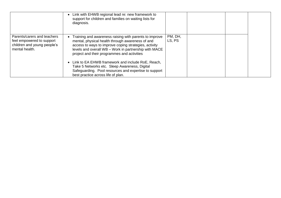|                                                                                                           | • Link with EHWB regional lead re: new framework to<br>support for children and families on waiting lists for<br>diagnosis.                                                                                                                                                 |                   |  |  |
|-----------------------------------------------------------------------------------------------------------|-----------------------------------------------------------------------------------------------------------------------------------------------------------------------------------------------------------------------------------------------------------------------------|-------------------|--|--|
| Parents/carers and teachers<br>feel empowered to support<br>children and young people's<br>mental health. | Training and awareness raising with parents to improve<br>mental, physical health through awareness of and<br>access to ways to improve coping strategies, activity<br>levels and overall WB - Work in partnership with MACE<br>project and their programmes and activities | PM, DH,<br>LS, PS |  |  |
|                                                                                                           | • Link to EA EHWB framework and include RoE, Reach,<br>Take 5 Networks etc. Sleep Awareness, Digital<br>Safeguarding. Pool resources and expertise to support<br>best practice across life of plan.                                                                         |                   |  |  |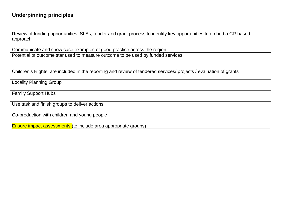Review of funding opportunities, SLAs, tender and grant process to identify key opportunities to embed a CR based approach

Communicate and show case examples of good practice across the region Potential of outcome star used to measure outcome to be used by funded services

Children's Rights are included in the reporting and review of tendered services/ projects / evaluation of grants

Locality Planning Group

Family Support Hubs

Use task and finish groups to deliver actions

Co-production with children and young people

Ensure impact assessments (to include area appropriate groups)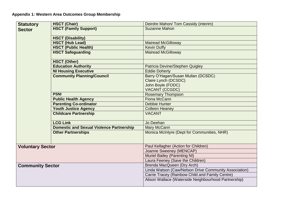| <b>Statutory</b>        | <b>HSCT (Chair)</b>                             | Deirdre Mahon/ Tom Cassidy (interim)                  |  |  |
|-------------------------|-------------------------------------------------|-------------------------------------------------------|--|--|
| <b>Sector</b>           | <b>HSCT (Family Support)</b>                    | <b>Suzanne Mahon</b>                                  |  |  |
|                         | <b>HSCT (Disability)</b>                        |                                                       |  |  |
|                         | <b>HSCT (Hub Lead)</b>                          | <b>Mairead McGilloway</b>                             |  |  |
|                         | <b>HSCT (Public Health)</b>                     | <b>Kevin Duffy</b>                                    |  |  |
|                         | <b>HSCT Safeguarding</b>                        | <b>Mairead McGilloway</b>                             |  |  |
|                         | <b>HSCT (Other)</b>                             |                                                       |  |  |
|                         | <b>Education Authority</b>                      | Patricia Devine/Stephen Quigley                       |  |  |
|                         | <b>NI Housing Executive</b>                     | <b>Eddie Doherty</b>                                  |  |  |
|                         | <b>Community Planning/Council</b>               | Barry O'Hagan/Susan Mullan (DCSDC)                    |  |  |
|                         |                                                 | Claire Lynch (DCSDC)                                  |  |  |
|                         |                                                 | John Boyle (FODC)                                     |  |  |
|                         |                                                 | <b>VACANT (CCGDC)</b>                                 |  |  |
|                         | <b>PSNI</b>                                     | <b>Rosemary Thompson</b>                              |  |  |
|                         | <b>Public Health Agency</b>                     | Fiona McCann                                          |  |  |
|                         | <b>Parenting Co-ordinator</b>                   | <b>Debbie Hunter</b>                                  |  |  |
|                         | <b>Youth Justice Agency</b>                     | <b>Colleen Heaney</b>                                 |  |  |
|                         | <b>Childcare Partnership</b>                    | <b>VACANT</b>                                         |  |  |
|                         | <b>LCG Link</b>                                 | Jo Deehan                                             |  |  |
|                         | <b>Domestic and Sexual Violence Partnership</b> | Mary McCann                                           |  |  |
|                         | <b>Other Partnerships</b>                       | Monica McIntyre (Dept for Communities, NHR)           |  |  |
| <b>Voluntary Sector</b> |                                                 | Paul Kellagher (Action for Children)                  |  |  |
|                         |                                                 | Joanne Sweeney (MENCAP)                               |  |  |
|                         |                                                 | <b>Muriel Bailey (Parenting NI)</b>                   |  |  |
|                         |                                                 | Laura Feeney (Save the Children)                      |  |  |
| <b>Community Sector</b> |                                                 | Brenda MacQueen (Dry Arch)                            |  |  |
|                         |                                                 | Linda Watson (Caw/Nelson Drive Community Association) |  |  |
|                         |                                                 | Carrie Tracey (Rainbow Child and Family Centre)       |  |  |
|                         |                                                 | Alison Wallace (Waterside Neighbourhood Partnership)  |  |  |
|                         |                                                 |                                                       |  |  |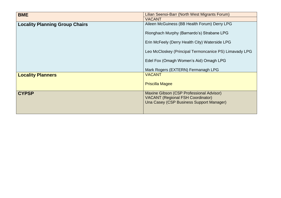| <b>BME</b>                            | Lilian Seenoi-Barr (North West Migrants Forum)                                       |  |
|---------------------------------------|--------------------------------------------------------------------------------------|--|
|                                       | <b>VACANT</b>                                                                        |  |
| <b>Locality Planning Group Chairs</b> | Aileen McGuiness (BB Health Forum) Derry LPG                                         |  |
|                                       | Rionghach Murphy (Barnardo's) Strabane LPG                                           |  |
|                                       | Erin McFeely (Derry Health City) Waterside LPG                                       |  |
|                                       | Leo McCloskey (Principal Termoncanice PS) Limavady LPG                               |  |
|                                       | Edel Fox (Omagh Women's Aid) Omagh LPG                                               |  |
|                                       | Mark Rogers (EXTERN) Fermanagh LPG                                                   |  |
| <b>Locality Planners</b>              | <b>VACANT</b>                                                                        |  |
|                                       | <b>Priscilla Magee</b>                                                               |  |
| <b>CYPSP</b>                          | Maxine Gibson (CSP Professional Advisor)                                             |  |
|                                       | <b>VACANT (Regional FSH Coordinator)</b><br>Una Casey (CSP Business Support Manager) |  |
|                                       |                                                                                      |  |